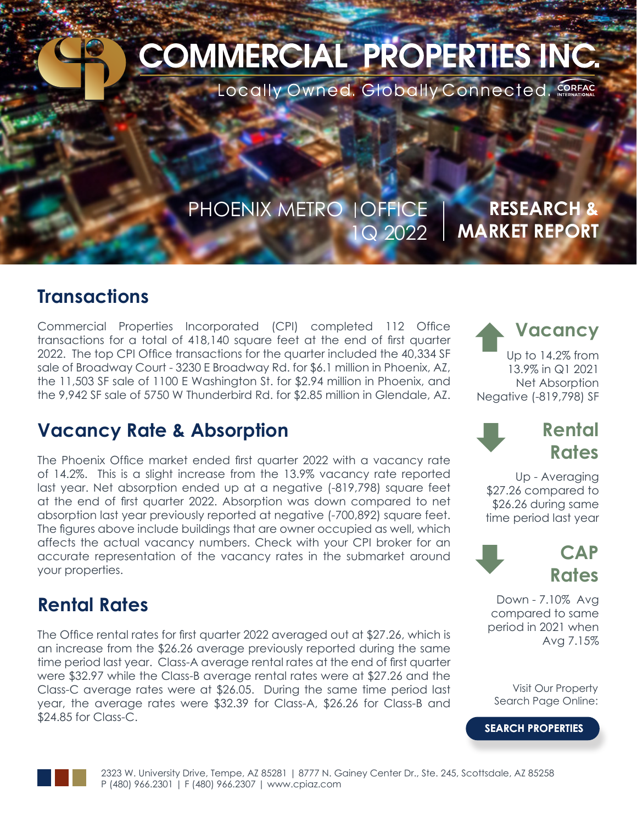# **COMMERCIAL PROPERTIES INC.**

Locally Owned. Globally Connected. CORFAC

### PHOENIX METRO | OFFICE 1Q 2022

### **RESEARCH & MARKET REPORT**

### **Transactions**

Commercial Properties Incorporated (CPI) completed 112 Office transactions for a total of 418,140 square feet at the end of first quarter 2022. The top CPI Office transactions for the quarter included the 40,334 SF sale of Broadway Court - 3230 E Broadway Rd. for \$6.1 million in Phoenix, AZ, the 11,503 SF sale of 1100 E Washington St. for \$2.94 million in Phoenix, and the 9,942 SF sale of 5750 W Thunderbird Rd. for \$2.85 million in Glendale, AZ.

### **Vacancy Rate & Absorption**

The Phoenix Office market ended first quarter 2022 with a vacancy rate of 14.2%. This is a slight increase from the 13.9% vacancy rate reported last year. Net absorption ended up at a negative (-819,798) square feet at the end of first quarter 2022. Absorption was down compared to net absorption last year previously reported at negative (-700,892) square feet. The figures above include buildings that are owner occupied as well, which affects the actual vacancy numbers. Check with your CPI broker for an accurate representation of the vacancy rates in the submarket around your properties.

### **Rental Rates**

The Office rental rates for first quarter 2022 averaged out at \$27.26, which is an increase from the \$26.26 average previously reported during the same time period last year. Class-A average rental rates at the end of first quarter were \$32.97 while the Class-B average rental rates were at \$27.26 and the Class-C average rates were at \$26.05. During the same time period last year, the average rates were \$32.39 for Class-A, \$26.26 for Class-B and \$24.85 for Class-C.

Ç **Vacancy** Up to 14.2% from 13.9% in Q1 2021 Net Absorption Negative (-819,798) SF

 $\ddot{\phantom{0}}$ 

 $\ddot{\phantom{0}}$ 

### **Rental Rates**

Up - Averaging \$27.26 compared to \$26.26 during same time period last year



Down - 7.10% Avg compared to same period in 2021 when Avg 7.15%

Visit Our Property Search Page Online:

**[SEARCH PROPERTIES](https://cpiaz.com/property-search/)**

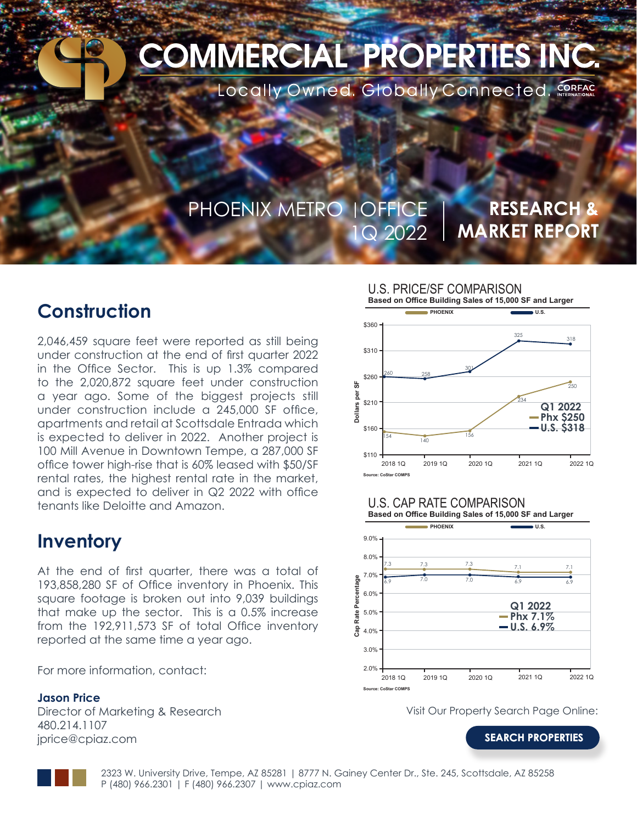# **COMMERCIAL PROPERTIES INC.**

Locally Owned. Globally Connected. CORFAC

### PHOENIX METRO | OFFICE 1Q 2022

### **RESEARCH & MARKET REPORT**

### **Construction**

2,046,459 square feet were reported as still being under construction at the end of first quarter 2022 in the Office Sector. This is up 1.3% compared to the 2,020,872 square feet under construction a year ago. Some of the biggest projects still under construction include a 245,000 SF office, apartments and retail at Scottsdale Entrada which is expected to deliver in 2022. Another project is 100 Mill Avenue in Downtown Tempe, a 287,000 SF office tower high-rise that is 60% leased with \$50/SF rental rates, the highest rental rate in the market, and is expected to deliver in Q2 2022 with office tenants like Deloitte and Amazon.

### **Inventory**

At the end of first quarter, there was a total of 193,858,280 SF of Office inventory in Phoenix. This square footage is broken out into 9,039 buildings that make up the sector. This is a 0.5% increase from the 192,911,573 SF of total Office inventory reported at the same time a year ago.

For more information, contact:

#### **Jason Price**

Director of Marketing & Research 480.214.1107 jprice@cpiaz.com



#### U.S. CAP RATE COMPARISON



Visit Our Property Search Page Online:

**[SEARCH PROPERTIES](https://cpiaz.com/property-search/)**

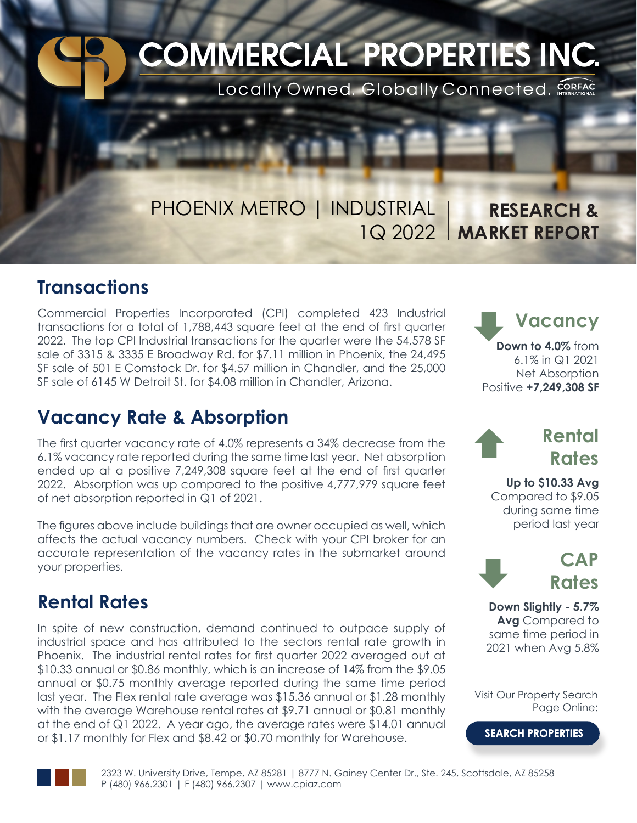# **COMMERCIAL PROPERTIES INC.**

Locally Owned. Globally Connected. CORFAC

# PHOENIX METRO | INDUSTRIAL

1Q 2022 **MARKET REPORT RESEARCH &** 

### **Transactions**

Commercial Properties Incorporated (CPI) completed 423 Industrial transactions for a total of 1,788,443 square feet at the end of first quarter 2022. The top CPI Industrial transactions for the quarter were the 54,578 SF sale of 3315 & 3335 E Broadway Rd. for \$7.11 million in Phoenix, the 24,495 SF sale of 501 E Comstock Dr. for \$4.57 million in Chandler, and the 25,000 SF sale of 6145 W Detroit St. for \$4.08 million in Chandler, Arizona.

### **Vacancy Rate & Absorption**

The first quarter vacancy rate of 4.0% represents a 34% decrease from the 6.1% vacancy rate reported during the same time last year. Net absorption ended up at a positive 7,249,308 square feet at the end of first quarter 2022. Absorption was up compared to the positive 4,777,979 square feet of net absorption reported in Q1 of 2021.

The figures above include buildings that are owner occupied as well, which affects the actual vacancy numbers. Check with your CPI broker for an accurate representation of the vacancy rates in the submarket around your properties.

### **Rental Rates**

In spite of new construction, demand continued to outpace supply of industrial space and has attributed to the sectors rental rate growth in Phoenix. The industrial rental rates for first quarter 2022 averaged out at \$10.33 annual or \$0.86 monthly, which is an increase of 14% from the \$9.05 annual or \$0.75 monthly average reported during the same time period last year. The Flex rental rate average was \$15.36 annual or \$1.28 monthly with the average Warehouse rental rates at \$9.71 annual or \$0.81 monthly at the end of Q1 2022. A year ago, the average rates were \$14.01 annual or \$1.17 monthly for Flex and \$8.42 or \$0.70 monthly for Warehouse.

**Vacancy Down to 4.0%** from 6.1% in Q1 2021 Net Absorption Positive **+7,249,308 SF**  $\ddot{\phantom{0}}$ 

# **Rental** Ç **Rates**

**Up to \$10.33 Avg** Compared to \$9.05 during same time period last year



**Down Slightly - 5.7% Avg** Compared to same time period in 2021 when Avg 5.8%

Visit Our Property Search Page Online:

**[SEARCH PROPERTIES](https://cpiaz.com/property-search/)**